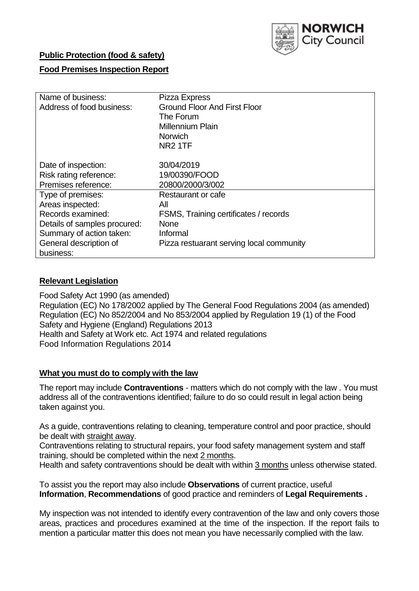

# **Public Protection (food & safety)**

# **Food Premises Inspection Report**

| Name of business:            | Pizza Express                            |  |  |  |  |  |
|------------------------------|------------------------------------------|--|--|--|--|--|
| Address of food business:    | <b>Ground Floor And First Floor</b>      |  |  |  |  |  |
|                              | The Forum                                |  |  |  |  |  |
|                              | <b>Millennium Plain</b>                  |  |  |  |  |  |
|                              | <b>Norwich</b>                           |  |  |  |  |  |
|                              | NR <sub>2</sub> 1TF                      |  |  |  |  |  |
|                              |                                          |  |  |  |  |  |
| Date of inspection:          | 30/04/2019                               |  |  |  |  |  |
| Risk rating reference:       | 19/00390/FOOD                            |  |  |  |  |  |
| Premises reference:          | 20800/2000/3/002                         |  |  |  |  |  |
| Type of premises:            | Restaurant or cafe                       |  |  |  |  |  |
| Areas inspected:             | All                                      |  |  |  |  |  |
| Records examined:            | FSMS, Training certificates / records    |  |  |  |  |  |
| Details of samples procured: | <b>None</b>                              |  |  |  |  |  |
| Summary of action taken:     | Informal                                 |  |  |  |  |  |
| General description of       | Pizza restuarant serving local community |  |  |  |  |  |
| business:                    |                                          |  |  |  |  |  |

## **Relevant Legislation**

Food Safety Act 1990 (as amended) Regulation (EC) No 178/2002 applied by The General Food Regulations 2004 (as amended) Regulation (EC) No 852/2004 and No 853/2004 applied by Regulation 19 (1) of the Food Safety and Hygiene (England) Regulations 2013 Health and Safety at Work etc. Act 1974 and related regulations Food Information Regulations 2014

## **What you must do to comply with the law**

The report may include **Contraventions** - matters which do not comply with the law . You must address all of the contraventions identified; failure to do so could result in legal action being taken against you.

As a guide, contraventions relating to cleaning, temperature control and poor practice, should be dealt with straight away.

Contraventions relating to structural repairs, your food safety management system and staff training, should be completed within the next 2 months.

Health and safety contraventions should be dealt with within 3 months unless otherwise stated.

To assist you the report may also include **Observations** of current practice, useful **Information**, **Recommendations** of good practice and reminders of **Legal Requirements .**

My inspection was not intended to identify every contravention of the law and only covers those areas, practices and procedures examined at the time of the inspection. If the report fails to mention a particular matter this does not mean you have necessarily complied with the law.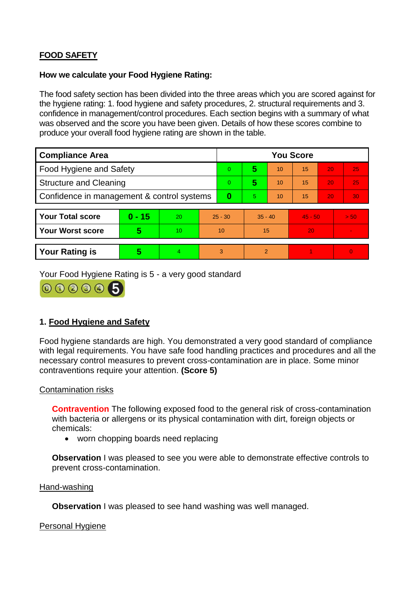# **FOOD SAFETY**

## **How we calculate your Food Hygiene Rating:**

The food safety section has been divided into the three areas which you are scored against for the hygiene rating: 1. food hygiene and safety procedures, 2. structural requirements and 3. confidence in management/control procedures. Each section begins with a summary of what was observed and the score you have been given. Details of how these scores combine to produce your overall food hygiene rating are shown in the table.

| <b>Compliance Area</b>                     |                         |                  |           | <b>You Score</b> |                |    |           |    |                |  |  |
|--------------------------------------------|-------------------------|------------------|-----------|------------------|----------------|----|-----------|----|----------------|--|--|
| Food Hygiene and Safety                    |                         |                  |           | 0                | 5              | 10 | 15        | 20 | 25             |  |  |
| <b>Structure and Cleaning</b>              |                         |                  |           | 0                | 5              | 10 | 15        | 20 | 25             |  |  |
| Confidence in management & control systems |                         |                  | 0         | 5                | 10             | 15 | 20        | 30 |                |  |  |
|                                            |                         |                  |           |                  |                |    |           |    |                |  |  |
| <b>Your Total score</b>                    | $0 - 15$                | 20               | $25 - 30$ |                  | $35 - 40$      |    | $45 - 50$ |    | > 50           |  |  |
| <b>Your Worst score</b>                    | $\overline{\mathbf{5}}$ | 10 <sup>10</sup> | 10        |                  | 15             |    | 20        |    | $\blacksquare$ |  |  |
|                                            |                         |                  |           |                  |                |    |           |    |                |  |  |
| <b>Your Rating is</b>                      | 5                       | $\overline{4}$   | 3         |                  | $\overline{2}$ |    |           |    | $\overline{0}$ |  |  |

Your Food Hygiene Rating is 5 - a very good standard



# **1. Food Hygiene and Safety**

Food hygiene standards are high. You demonstrated a very good standard of compliance with legal requirements. You have safe food handling practices and procedures and all the necessary control measures to prevent cross-contamination are in place. Some minor contraventions require your attention. **(Score 5)**

## Contamination risks

**Contravention** The following exposed food to the general risk of cross-contamination with bacteria or allergens or its physical contamination with dirt, foreign objects or chemicals:

• worn chopping boards need replacing

**Observation** I was pleased to see you were able to demonstrate effective controls to prevent cross-contamination.

#### Hand-washing

**Observation** I was pleased to see hand washing was well managed.

Personal Hygiene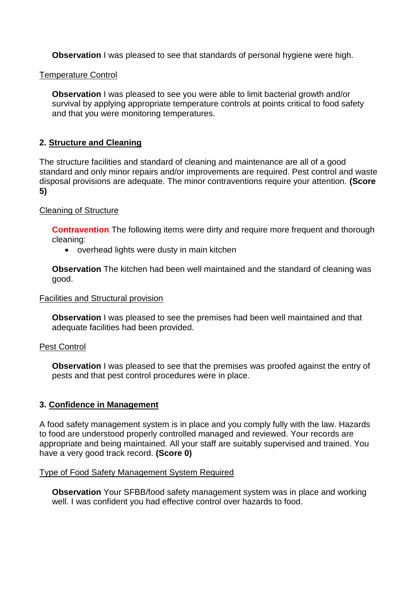**Observation** I was pleased to see that standards of personal hygiene were high.

## Temperature Control

**Observation** I was pleased to see you were able to limit bacterial growth and/or survival by applying appropriate temperature controls at points critical to food safety and that you were monitoring temperatures.

# **2. Structure and Cleaning**

The structure facilities and standard of cleaning and maintenance are all of a good standard and only minor repairs and/or improvements are required. Pest control and waste disposal provisions are adequate. The minor contraventions require your attention. **(Score 5)**

## Cleaning of Structure

**Contravention** The following items were dirty and require more frequent and thorough cleaning:

overhead lights were dusty in main kitchen

**Observation** The kitchen had been well maintained and the standard of cleaning was good.

#### Facilities and Structural provision

**Observation** I was pleased to see the premises had been well maintained and that adequate facilities had been provided.

#### Pest Control

**Observation** I was pleased to see that the premises was proofed against the entry of pests and that pest control procedures were in place.

## **3. Confidence in Management**

A food safety management system is in place and you comply fully with the law. Hazards to food are understood properly controlled managed and reviewed. Your records are appropriate and being maintained. All your staff are suitably supervised and trained. You have a very good track record. **(Score 0)**

#### Type of Food Safety Management System Required

**Observation** Your SFBB/food safety management system was in place and working well. I was confident you had effective control over hazards to food.